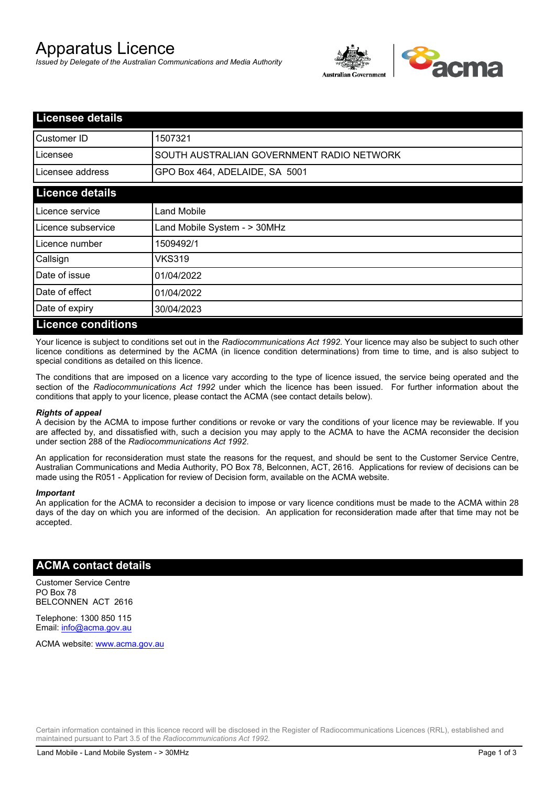# Apparatus Licence

*Issued by Delegate of the Australian Communications and Media Authority*



| <b>Licensee details</b>   |                                           |  |
|---------------------------|-------------------------------------------|--|
| Customer ID               | 1507321                                   |  |
| Licensee                  | SOUTH AUSTRALIAN GOVERNMENT RADIO NETWORK |  |
| Licensee address          | GPO Box 464, ADELAIDE, SA 5001            |  |
| <b>Licence details</b>    |                                           |  |
| Licence service           | Land Mobile                               |  |
| Licence subservice        | Land Mobile System - > 30MHz              |  |
| Licence number            | 1509492/1                                 |  |
| Callsign                  | VKS319                                    |  |
| Date of issue             | 01/04/2022                                |  |
| Date of effect            | 01/04/2022                                |  |
| Date of expiry            | 30/04/2023                                |  |
| <b>Licence conditions</b> |                                           |  |

Your licence is subject to conditions set out in the *Radiocommunications Act 1992*. Your licence may also be subject to such other licence conditions as determined by the ACMA (in licence condition determinations) from time to time, and is also subject to special conditions as detailed on this licence.

The conditions that are imposed on a licence vary according to the type of licence issued, the service being operated and the section of the *Radiocommunications Act 1992* under which the licence has been issued. For further information about the conditions that apply to your licence, please contact the ACMA (see contact details below).

#### *Rights of appeal*

A decision by the ACMA to impose further conditions or revoke or vary the conditions of your licence may be reviewable. If you are affected by, and dissatisfied with, such a decision you may apply to the ACMA to have the ACMA reconsider the decision under section 288 of the *Radiocommunications Act 1992*.

An application for reconsideration must state the reasons for the request, and should be sent to the Customer Service Centre, Australian Communications and Media Authority, PO Box 78, Belconnen, ACT, 2616. Applications for review of decisions can be made using the R051 - Application for review of Decision form, available on the ACMA website.

#### *Important*

An application for the ACMA to reconsider a decision to impose or vary licence conditions must be made to the ACMA within 28 days of the day on which you are informed of the decision. An application for reconsideration made after that time may not be accepted.

#### **ACMA contact details**

Customer Service Centre PO Box 78 BELCONNEN ACT 2616

Telephone: 1300 850 115 Email: info@acma.gov.au

ACMA website: www.acma.gov.au

Certain information contained in this licence record will be disclosed in the Register of Radiocommunications Licences (RRL), established and maintained pursuant to Part 3.5 of the *Radiocommunications Act 1992.*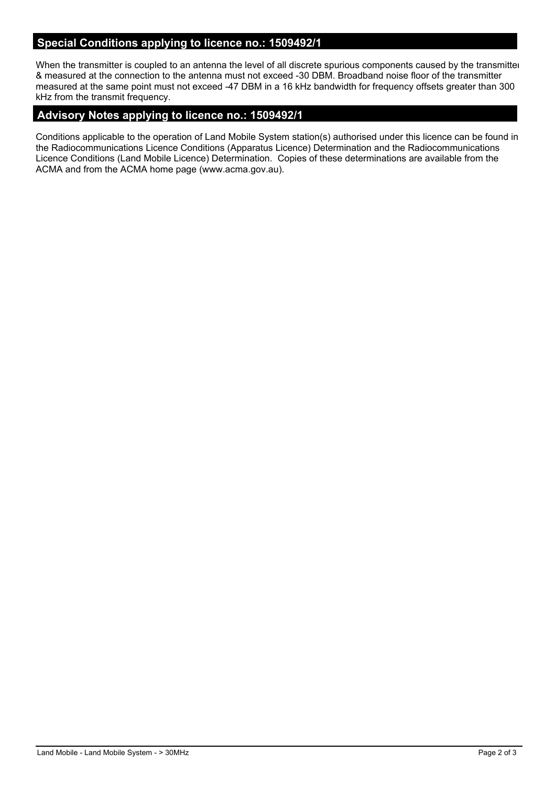## **Special Conditions applying to licence no.: 1509492/1**

When the transmitter is coupled to an antenna the level of all discrete spurious components caused by the transmitter & measured at the connection to the antenna must not exceed -30 DBM. Broadband noise floor of the transmitter measured at the same point must not exceed -47 DBM in a 16 kHz bandwidth for frequency offsets greater than 300 kHz from the transmit frequency.

### **Advisory Notes applying to licence no.: 1509492/1**

Conditions applicable to the operation of Land Mobile System station(s) authorised under this licence can be found in the Radiocommunications Licence Conditions (Apparatus Licence) Determination and the Radiocommunications Licence Conditions (Land Mobile Licence) Determination. Copies of these determinations are available from the ACMA and from the ACMA home page (www.acma.gov.au).